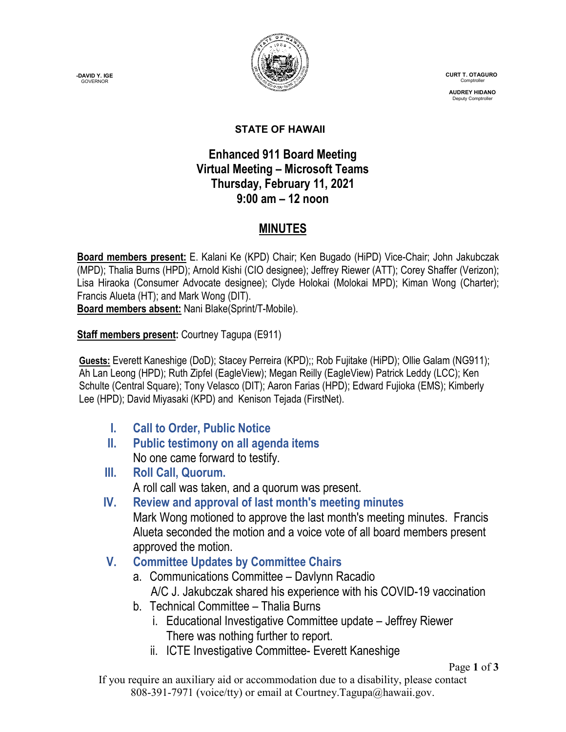**-DAVID Y. IGE GOVERNOR** 



 **CURT T. OTAGURO** Comptrol

 **AUDREY HIDANO** Deputy Comptroll

#### **STATE OF HAWAII**

### **Enhanced 911 Board Meeting Virtual Meeting – Microsoft Teams Thursday, February 11, 2021 9:00 am – 12 noon**

# **MINUTES**

**Board members present:** E. Kalani Ke (KPD) Chair; Ken Bugado (HiPD) Vice-Chair; John Jakubczak (MPD); Thalia Burns (HPD); Arnold Kishi (CIO designee); Jeffrey Riewer (ATT); Corey Shaffer (Verizon); Lisa Hiraoka (Consumer Advocate designee); Clyde Holokai (Molokai MPD); Kiman Wong (Charter); Francis Alueta (HT); and Mark Wong (DIT).

**Board members absent:** Nani Blake(Sprint/T-Mobile).

**Staff members present:** Courtney Tagupa (E911)

**Guests:** Everett Kaneshige (DoD); Stacey Perreira (KPD);; Rob Fujitake (HiPD); Ollie Galam (NG911); Ah Lan Leong (HPD); Ruth Zipfel (EagleView); Megan Reilly (EagleView) Patrick Leddy (LCC); Ken Schulte (Central Square); Tony Velasco (DIT); Aaron Farias (HPD); Edward Fujioka (EMS); Kimberly Lee (HPD); David Miyasaki (KPD) and Kenison Tejada (FirstNet).

- **I. Call to Order, Public Notice**
- **II. Public testimony on all agenda items** No one came forward to testify.
- **III. Roll Call, Quorum.** A roll call was taken, and a quorum was present.
- **IV. Review and approval of last month's meeting minutes**

Mark Wong motioned to approve the last month's meeting minutes. Francis Alueta seconded the motion and a voice vote of all board members present approved the motion.

- **V. Committee Updates by Committee Chairs**
	- a. Communications Committee Davlynn Racadio A/C J. Jakubczak shared his experience with his COVID-19 vaccination
	- b. Technical Committee Thalia Burns
		- i. Educational Investigative Committee update Jeffrey Riewer There was nothing further to report.
		- ii. ICTE Investigative Committee- Everett Kaneshige

Page **1** of **3**

If you require an auxiliary aid or accommodation due to a disability, please contact 808-391-7971 (voice/tty) or email at Courtney.Tagupa@hawaii.gov.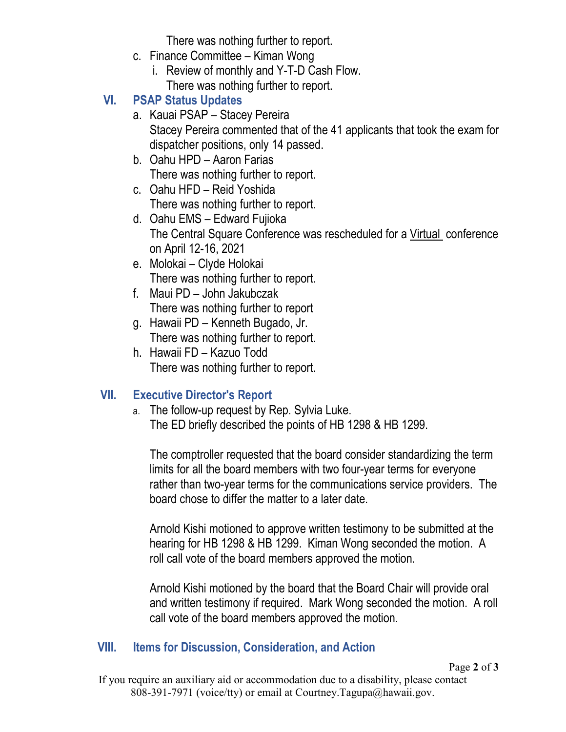There was nothing further to report.

- c. Finance Committee Kiman Wong
	- i. Review of monthly and Y-T-D Cash Flow.
		- There was nothing further to report.

## **VI. PSAP Status Updates**

- a. Kauai PSAP Stacey Pereira Stacey Pereira commented that of the 41 applicants that took the exam for dispatcher positions, only 14 passed.
- b. Oahu HPD Aaron Farias There was nothing further to report.
- c. Oahu HFD Reid Yoshida There was nothing further to report.
- d. Oahu EMS Edward Fujioka The Central Square Conference was rescheduled for a Virtual conference on April 12-16, 2021
- e. Molokai Clyde Holokai There was nothing further to report.
- f. Maui PD John Jakubczak There was nothing further to report
- g. Hawaii PD Kenneth Bugado, Jr. There was nothing further to report.
- h. Hawaii FD Kazuo Todd There was nothing further to report.

# **VII. Executive Director's Report**

a. The follow-up request by Rep. Sylvia Luke. The ED briefly described the points of HB 1298 & HB 1299.

The comptroller requested that the board consider standardizing the term limits for all the board members with two four-year terms for everyone rather than two-year terms for the communications service providers. The board chose to differ the matter to a later date.

Arnold Kishi motioned to approve written testimony to be submitted at the hearing for HB 1298 & HB 1299. Kiman Wong seconded the motion. A roll call vote of the board members approved the motion.

Arnold Kishi motioned by the board that the Board Chair will provide oral and written testimony if required. Mark Wong seconded the motion. A roll call vote of the board members approved the motion.

# **VIII. Items for Discussion, Consideration, and Action**

If you require an auxiliary aid or accommodation due to a disability, please contact 808-391-7971 (voice/tty) or email at Courtney.Tagupa@hawaii.gov.